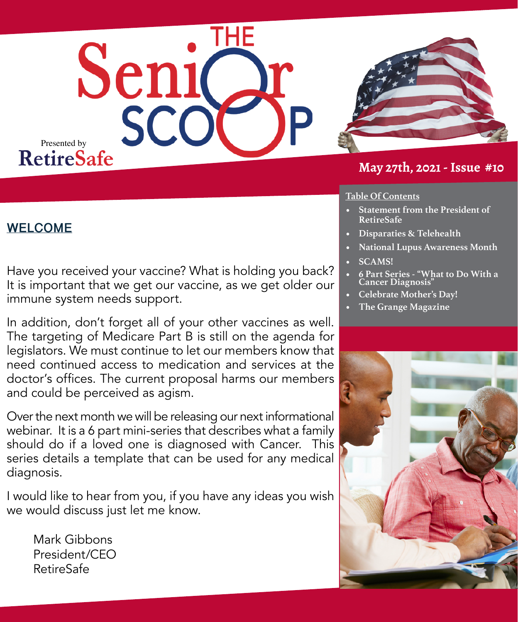



#### **May 27th, 2021 - Issue #10**

#### **Table Of Contents**

- **• Statement from the President of RetireSafe**
- **• Disparaties & Telehealth**
- **• National Lupus Awareness Month**
- **• SCAMS!**
- **• 6 Part Series "What to Do With a Cancer Diagnosis"**
- **• Celebrate Mother's Day!**
- **• The Grange Magazine**



## **WELCOME**

Have you received your vaccine? What is holding you back? It is important that we get our vaccine, as we get older our immune system needs support.

In addition, don't forget all of your other vaccines as well. The targeting of Medicare Part B is still on the agenda for legislators. We must continue to let our members know that need continued access to medication and services at the doctor's offices. The current proposal harms our members and could be perceived as agism.

Over the next month we will be releasing our next informational webinar. It is a 6 part mini-series that describes what a family should do if a loved one is diagnosed with Cancer. This series details a template that can be used for any medical diagnosis.

I would like to hear from you, if you have any ideas you wish we would discuss just let me know.

Mark Gibbons President/CEO RetireSafe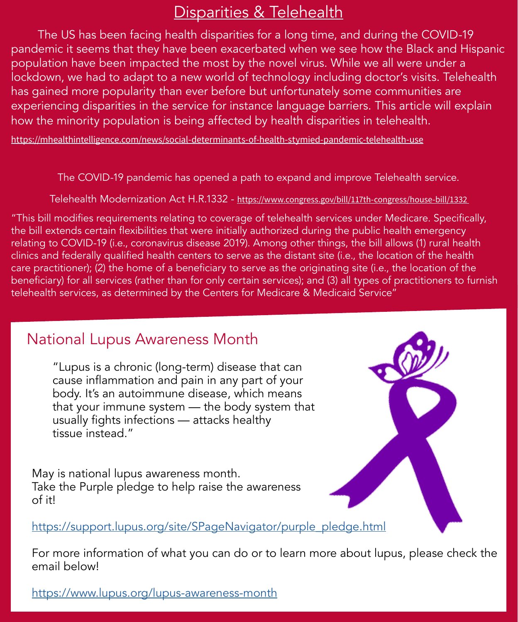## Disparities & Telehealth

The US has been facing health disparities for a long time, and during the COVID-19 pandemic it seems that they have been exacerbated when we see how the Black and Hispanic population have been impacted the most by the novel virus. While we all were under a lockdown, we had to adapt to a new world of technology including doctor's visits. Telehealth has gained more popularity than ever before but unfortunately some communities are experiencing disparities in the service for instance language barriers. This article will explain how the minority population is being affected by health disparities in telehealth.

<https://mhealthintelligence.com/news/social-determinants-of-health-stymied-pandemic-telehealth-use>

The COVID-19 pandemic has opened a path to expand and improve Telehealth service.

Telehealth Modernization Act H.R.1332 - [https://www.congress.gov/bill/117th-congress/house-bill/1332](https://www.congress.gov/bill/117th-congress/house-bill/1332?q=%7B%22search%22%3A%5B%22h.r.1332%22%5D%7D&s=1&r=1) 

"This bill modifies requirements relating to coverage of telehealth services under Medicare. Specifically, the bill extends certain flexibilities that were initially authorized during the public health emergency relating to COVID-19 (i.e., coronavirus disease 2019). Among other things, the bill allows (1) rural health clinics and federally qualified health centers to serve as the distant site (i.e., the location of the health care practitioner); (2) the home of a beneficiary to serve as the originating site (i.e., the location of the beneficiary) for all services (rather than for only certain services); and (3) all types of practitioners to furnish telehealth services, as determined by the Centers for Medicare & Medicaid Service"

## National Lupus Awareness Month

"Lupus is a chronic (long-term) disease that can cause inflammation and pain in any part of your body. It's an autoimmune disease, which means that your immune system — the body system that usually fights infections — attacks healthy tissue instead."

May is national lupus awareness month. Take the Purple pledge to help raise the awareness of it!

[https://support.lupus.org/site/SPageNavigator/purple\\_pledge.html](https://support.lupus.org/site/SPageNavigator/purple_pledge.html)

For more information of what you can do or to learn more about lupus, please check the email below!

<https://www.lupus.org/lupus-awareness-month>